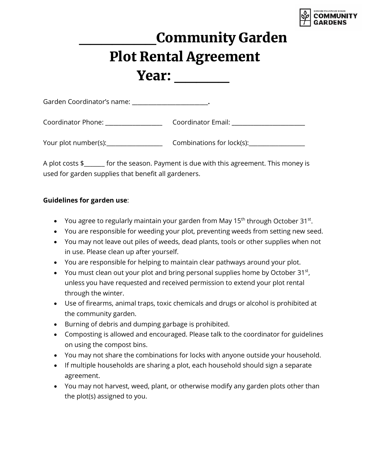

## \_\_\_\_\_\_\_Community Garden Plot Rental Agreement Year:

| Garden Coordinator's name: |                           |
|----------------------------|---------------------------|
| Coordinator Phone:         | Coordinator Email:        |
| Your plot number(s):       | Combinations for lock(s): |

A plot costs \$\_\_\_\_\_\_\_ for the season. Payment is due with this agreement. This money is used for garden supplies that benefit all gardeners.

#### **Guidelines for garden use**:

- You agree to regularly maintain your garden from May  $15<sup>th</sup>$  through October  $31<sup>st</sup>$ .
- You are responsible for weeding your plot, preventing weeds from setting new seed.
- You may not leave out piles of weeds, dead plants, tools or other supplies when not in use. Please clean up after yourself.
- You are responsible for helping to maintain clear pathways around your plot.
- You must clean out your plot and bring personal supplies home by October 31 $^{\rm st}$ , unless you have requested and received permission to extend your plot rental through the winter.
- Use of firearms, animal traps, toxic chemicals and drugs or alcohol is prohibited at the community garden.
- Burning of debris and dumping garbage is prohibited.
- Composting is allowed and encouraged. Please talk to the coordinator for guidelines on using the compost bins.
- You may not share the combinations for locks with anyone outside your household.
- If multiple households are sharing a plot, each household should sign a separate agreement.
- You may not harvest, weed, plant, or otherwise modify any garden plots other than the plot(s) assigned to you.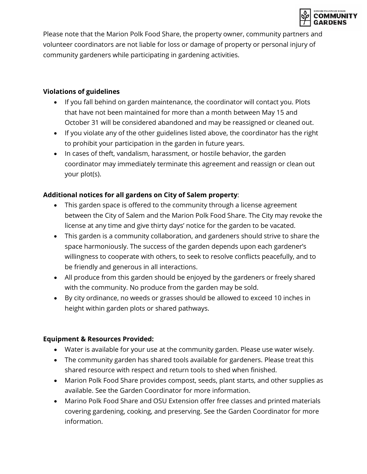

Please note that the Marion Polk Food Share, the property owner, community partners and volunteer coordinators are not liable for loss or damage of property or personal injury of community gardeners while participating in gardening activities.

#### **Violations of guidelines**

- If you fall behind on garden maintenance, the coordinator will contact you. Plots that have not been maintained for more than a month between May 15 and October 31 will be considered abandoned and may be reassigned or cleaned out.
- If you violate any of the other guidelines listed above, the coordinator has the right to prohibit your participation in the garden in future years.
- In cases of theft, vandalism, harassment, or hostile behavior, the garden coordinator may immediately terminate this agreement and reassign or clean out your plot(s).

## **Additional notices for all gardens on City of Salem property**:

- This garden space is offered to the community through a license agreement between the City of Salem and the Marion Polk Food Share. The City may revoke the license at any time and give thirty days' notice for the garden to be vacated.
- This garden is a community collaboration, and gardeners should strive to share the space harmoniously. The success of the garden depends upon each gardener's willingness to cooperate with others, to seek to resolve conflicts peacefully, and to be friendly and generous in all interactions.
- All produce from this garden should be enjoyed by the gardeners or freely shared with the community. No produce from the garden may be sold.
- By city ordinance, no weeds or grasses should be allowed to exceed 10 inches in height within garden plots or shared pathways.

## **Equipment & Resources Provided:**

- Water is available for your use at the community garden. Please use water wisely.
- The community garden has shared tools available for gardeners. Please treat this shared resource with respect and return tools to shed when finished.
- Marion Polk Food Share provides compost, seeds, plant starts, and other supplies as available. See the Garden Coordinator for more information.
- Marino Polk Food Share and OSU Extension offer free classes and printed materials covering gardening, cooking, and preserving. See the Garden Coordinator for more information.